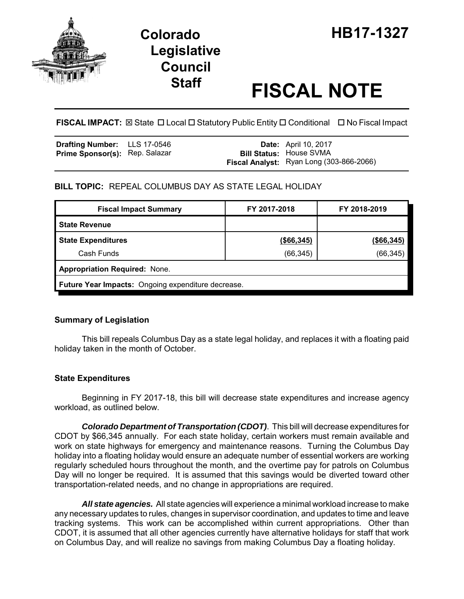

# **Legislative Council**

# **Staff FISCAL NOTE**

**FISCAL IMPACT:** ⊠ State **D** Local **D** Statutory Public Entity **D** Conditional **D** No Fiscal Impact

| <b>Drafting Number:</b> LLS 17-0546   |  | <b>Date:</b> April 10, 2017              |
|---------------------------------------|--|------------------------------------------|
| <b>Prime Sponsor(s): Rep. Salazar</b> |  | <b>Bill Status: House SVMA</b>           |
|                                       |  | Fiscal Analyst: Ryan Long (303-866-2066) |

## **BILL TOPIC:** REPEAL COLUMBUS DAY AS STATE LEGAL HOLIDAY

| <b>Fiscal Impact Summary</b>                       | FY 2017-2018 | FY 2018-2019  |  |  |
|----------------------------------------------------|--------------|---------------|--|--|
| <b>State Revenue</b>                               |              |               |  |  |
| <b>State Expenditures</b>                          | (\$66,345)   | $($ \$66,345) |  |  |
| Cash Funds                                         | (66, 345)    | (66, 345)     |  |  |
| <b>Appropriation Required: None.</b>               |              |               |  |  |
| Future Year Impacts: Ongoing expenditure decrease. |              |               |  |  |

## **Summary of Legislation**

This bill repeals Columbus Day as a state legal holiday, and replaces it with a floating paid holiday taken in the month of October.

## **State Expenditures**

Beginning in FY 2017-18, this bill will decrease state expenditures and increase agency workload, as outlined below.

*Colorado Department of Transportation (CDOT)*. This bill will decrease expenditures for CDOT by \$66,345 annually. For each state holiday, certain workers must remain available and work on state highways for emergency and maintenance reasons. Turning the Columbus Day holiday into a floating holiday would ensure an adequate number of essential workers are working regularly scheduled hours throughout the month, and the overtime pay for patrols on Columbus Day will no longer be required. It is assumed that this savings would be diverted toward other transportation-related needs, and no change in appropriations are required.

*All state agencies.* All state agencies will experience a minimal workload increase to make any necessary updates to rules, changes in supervisor coordination, and updates to time and leave tracking systems. This work can be accomplished within current appropriations. Other than CDOT, it is assumed that all other agencies currently have alternative holidays for staff that work on Columbus Day, and will realize no savings from making Columbus Day a floating holiday.